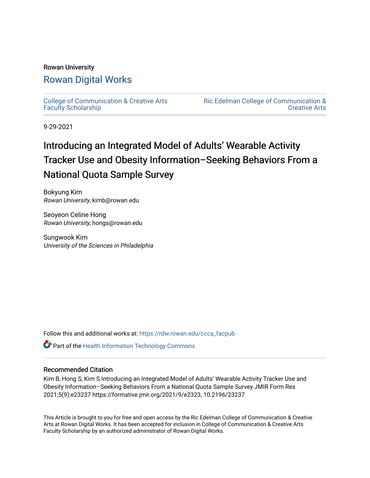# Rowan University [Rowan Digital Works](https://rdw.rowan.edu/)

[College of Communication & Creative Arts](https://rdw.rowan.edu/ccca_facpub) [Faculty Scholarship](https://rdw.rowan.edu/ccca_facpub)

[Ric Edelman College of Communication &](https://rdw.rowan.edu/ccca)  [Creative Arts](https://rdw.rowan.edu/ccca) 

9-29-2021

# Introducing an Integrated Model of Adults' Wearable Activity Tracker Use and Obesity Information–Seeking Behaviors From a National Quota Sample Survey

Bokyung Kim Rowan University, kimb@rowan.edu

Seoyeon Celine Hong Rowan University, hongs@rowan.edu

Sungwook Kim University of the Sciences in Philadelphia

Follow this and additional works at: [https://rdw.rowan.edu/ccca\\_facpub](https://rdw.rowan.edu/ccca_facpub?utm_source=rdw.rowan.edu%2Fccca_facpub%2F6&utm_medium=PDF&utm_campaign=PDFCoverPages) 

**Part of the Health Information Technology Commons** 

# Recommended Citation

Kim B, Hong S, Kim S Introducing an Integrated Model of Adults' Wearable Activity Tracker Use and Obesity Information–Seeking Behaviors From a National Quota Sample Survey JMIR Form Res 2021;5(9):e23237 https://formative.jmir.org/2021/9/e2323, 10.2196/23237

This Article is brought to you for free and open access by the Ric Edelman College of Communication & Creative Arts at Rowan Digital Works. It has been accepted for inclusion in College of Communication & Creative Arts Faculty Scholarship by an authorized administrator of Rowan Digital Works.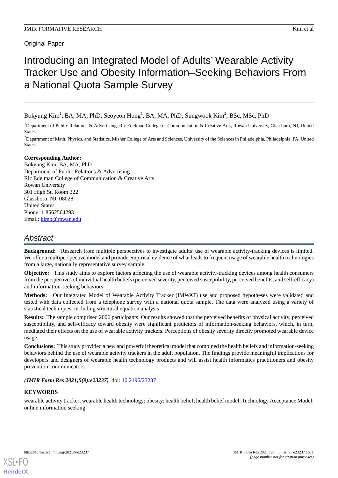Original Paper

# Introducing an Integrated Model of Adults' Wearable Activity Tracker Use and Obesity Information–Seeking Behaviors From a National Quota Sample Survey

Bokyung Kim $^1$ , BA, MA, PhD; Seoyeon Hong $^1$ , BA, MA, PhD; Sungwook Kim $^2$ , BSc, MSc, PhD

<sup>1</sup>Department of Public Relations & Advertising, Ric Edelman College of Communication & Creative Arts, Rowan University, Glassboro, NJ, United States

<sup>2</sup>Department of Math, Physics, and Statistics, Misher College of Arts and Sciences, University of the Sciences in Philadelphia, Philadelphia, PA, United States

## **Corresponding Author:**

Bokyung Kim, BA, MA, PhD Department of Public Relations & Advertising Ric Edelman College of Communication & Creative Arts Rowan University 301 High St, Room 322 Glassboro, NJ, 08028 United States Phone: 1 8562564293 Email: [kimb@rowan.edu](mailto:kimb@rowan.edu)

# *Abstract*

**Background:** Research from multiple perspectives to investigate adults' use of wearable activity-tracking devices is limited. We offer a multiperspective model and provide empirical evidence of what leads to frequent usage of wearable health technologies from a large, nationally representative survey sample.

**Objective:** This study aims to explore factors affecting the use of wearable activity-tracking devices among health consumers from the perspectives of individual health beliefs (perceived severity, perceived susceptibility, perceived benefits, and self-efficacy) and information-seeking behaviors.

**Methods:** Our Integrated Model of Wearable Activity Tracker (IMWAT) use and proposed hypotheses were validated and tested with data collected from a telephone survey with a national quota sample. The data were analyzed using a variety of statistical techniques, including structural equation analysis.

**Results:** The sample comprised 2006 participants. Our results showed that the perceived benefits of physical activity, perceived susceptibility, and self-efficacy toward obesity were significant predictors of information-seeking behaviors, which, in turn, mediated their effects on the use of wearable activity trackers. Perceptions of obesity severity directly promoted wearable device usage.

**Conclusions:** This study provided a new and powerful theoretical model that combined the health beliefs and information-seeking behaviors behind the use of wearable activity trackers in the adult population. The findings provide meaningful implications for developers and designers of wearable health technology products and will assist health informatics practitioners and obesity prevention communicators.

*(JMIR Form Res 2021;5(9):e23237)* doi:  $10.2196/23237$ 

# **KEYWORDS**

wearable activity tracker; wearable health technology; obesity; health belief; health belief model; Technology Acceptance Model; online information seeking



**[RenderX](http://www.renderx.com/)**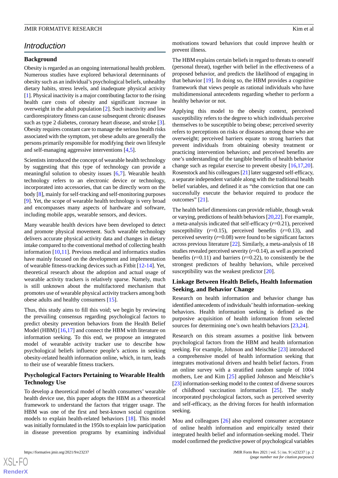#### **Background**

Obesity is regarded as an ongoing international health problem. Numerous studies have explored behavioral determinants of obesity such as an individual's psychological beliefs, unhealthy dietary habits, stress levels, and inadequate physical activity [[1\]](#page-12-0). Physical inactivity is a major contributing factor to the rising health care costs of obesity and significant increase in overweight in the adult population [[2\]](#page-12-1). Such inactivity and low cardiorespiratory fitness can cause subsequent chronic diseases such as type 2 diabetes, coronary heart disease, and stroke [[3\]](#page-12-2). Obesity requires constant care to manage the serious health risks associated with the symptom, yet obese adults are generally the persons primarily responsible for modifying their own lifestyle and self-managing aggressive interventions [\[4](#page-12-3),[5\]](#page-12-4).

Scientists introduced the concept of wearable health technology by suggesting that this type of technology can provide a meaningful solution to obesity issues [[6,](#page-12-5)[7](#page-12-6)]. Wearable health technology refers to an electronic device or technology, incorporated into accessories, that can be directly worn on the body [[8\]](#page-12-7), mainly for self-tracking and self-monitoring purposes [[9\]](#page-12-8). Yet, the scope of wearable health technology is very broad and encompasses many aspects of hardware and software, including mobile apps, wearable sensors, and devices.

Many wearable health devices have been developed to detect and promote physical movement. Such wearable technology delivers accurate physical activity data and changes in dietary intake compared to the conventional method of collecting health information [[10,](#page-12-9)[11](#page-12-10)]. Previous medical and informatics studies have mainly focused on the development and implementation of wearable fitness-tracking devices such as Fitbit [\[12](#page-12-11)-[14\]](#page-12-12). Yet, theoretical research about the adoption and actual usage of wearable activity trackers is relatively sparse. Namely, much is still unknown about the multifactored mechanism that promotes use of wearable physical activity trackers among both obese adults and healthy consumers [[15\]](#page-12-13).

Thus, this study aims to fill this void; we begin by reviewing the prevailing consensus regarding psychological factors to predict obesity prevention behaviors from the Health Belief Model (HBM) [[16](#page-12-14)[,17](#page-12-15)] and connect the HBM with literature on information seeking. To this end, we propose an integrated model of wearable activity tracker use to describe how psychological beliefs influence people's actions in seeking obesity-related health information online, which, in turn, leads to their use of wearable fitness trackers.

## **Psychological Factors Pertaining to Wearable Health Technology Use**

To develop a theoretical model of health consumers' wearable health device use, this paper adopts the HBM as a theoretical framework to understand the factors that trigger usage. The HBM was one of the first and best-known social cognition models to explain health-related behaviors [\[18](#page-12-16)]. This model was initially formulated in the 1950s to explain low participation in disease prevention programs by examining individual

motivations toward behaviors that could improve health or prevent illness.

The HBM explains certain beliefs in regard to threats to oneself (personal threat), together with belief in the effectiveness of a proposed behavior, and predicts the likelihood of engaging in that behavior [\[19](#page-12-17)]. In doing so, the HBM provides a cognitive framework that views people as rational individuals who have multidimensional antecedents regarding whether to perform a healthy behavior or not.

Applying this model to the obesity context, perceived susceptibility refers to the degree to which individuals perceive themselves to be susceptible to being obese; perceived severity refers to perceptions on risks or diseases among those who are overweight; perceived barriers equate to strong barriers that prevent individuals from obtaining obesity treatment or practicing intervention behaviors; and perceived benefits are one's understanding of the tangible benefits of health behavior change such as regular exercise to prevent obesity [[16](#page-12-14)[,17](#page-12-15),[20\]](#page-12-18). Rosenstock and his colleagues [\[21](#page-12-19)] later suggested self-efficacy, a separate independent variable along with the traditional health belief variables, and defined it as "the conviction that one can successfully execute the behavior required to produce the outcomes" [\[21](#page-12-19)].

The health belief dimensions can provide reliable, though weak or varying, predictions of health behaviors [\[20](#page-12-18)[,22](#page-13-0)]. For example, a meta-analysis indicated that self-efficacy (*r*=0.21), perceived susceptibility  $(r=0.15)$ , perceived benefits  $(r=0.13)$ , and perceived severity (*r*=0.08) were found to be significant factors across previous literature [[22\]](#page-13-0). Similarly, a meta-analysis of 18 studies revealed perceived severity (*r*=0.14), as well as perceived benefits  $(r=0.11)$  and barriers  $(r=0.22)$ , to consistently be the strongest predictors of healthy behaviors, while perceived susceptibility was the weakest predictor [[20\]](#page-12-18).

# **Linkage Between Health Beliefs, Health Information Seeking, and Behavior Change**

Research on health information and behavior change has identified antecedents of individuals'health information–seeking behaviors. Health information seeking is defined as the purposive acquisition of health information from selected sources for determining one's own health behaviors [[23,](#page-13-1)[24](#page-13-2)].

Research on this stream assumes a positive link between psychological factors from the HBM and health information seeking. For example, Johnson and Meischke [[23\]](#page-13-1) introduced a comprehensive model of health information seeking that integrates motivational drivers and health belief factors. From an online survey with a stratified random sample of 1004 mothers, Lee and Kim [\[25](#page-13-3)] applied Johnson and Meischke's [[23\]](#page-13-1) information-seeking model to the context of diverse sources of childhood vaccination information [[25\]](#page-13-3). The study incorporated psychological factors, such as perceived severity and self-efficacy, as the driving forces for health information seeking.

Mou and colleagues [\[26](#page-13-4)] also explored consumer acceptance of online health information and empirically tested their integrated health belief and information-seeking model. Their model confirmed the predictive power of psychological variables

 $XS$  $\cdot$ FC **[RenderX](http://www.renderx.com/)**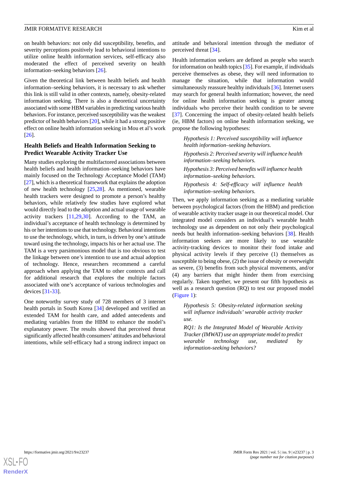on health behaviors: not only did susceptibility, benefits, and severity perceptions positively lead to behavioral intentions to utilize online health information services, self-efficacy also moderated the effect of perceived severity on health information–seeking behaviors [\[26](#page-13-4)].

Given the theoretical link between health beliefs and health information–seeking behaviors, it is necessary to ask whether this link is still valid in other contexts, namely, obesity-related information seeking. There is also a theoretical uncertainty associated with some HBM variables in predicting various health behaviors. For instance, perceived susceptibility was the weakest predictor of health behaviors [\[20](#page-12-18)], while it had a strong positive effect on online health information seeking in Mou et al's work [[26\]](#page-13-4).

## **Health Beliefs and Health Information Seeking to Predict Wearable Activity Tracker Use**

Many studies exploring the multifactored associations between health beliefs and health information–seeking behaviors have mainly focused on the Technology Acceptance Model (TAM) [[27\]](#page-13-5), which is a theoretical framework that explains the adoption of new health technology [[25,](#page-13-3)[28](#page-13-6)]. As mentioned, wearable health trackers were designed to promote a person's healthy behaviors, while relatively few studies have explored what would directly lead to the adoption and actual usage of wearable activity trackers [[11](#page-12-10)[,29](#page-13-7),[30\]](#page-13-8). According to the TAM, an individual's acceptance of health technology is determined by his or her intentions to use that technology. Behavioral intentions to use the technology, which, in turn, is driven by one's attitude toward using the technology, impacts his or her actual use. The TAM is a very parsimonious model that is too obvious to test the linkage between one's intention to use and actual adoption of technology. Hence, researchers recommend a careful approach when applying the TAM to other contexts and call for additional research that explores the multiple factors associated with one's acceptance of various technologies and devices [\[31](#page-13-9)[-33](#page-13-10)].

One noteworthy survey study of 728 members of 3 internet health portals in South Korea [[34\]](#page-13-11) developed and verified an extended TAM for health care, and added antecedents and mediating variables from the HBM to enhance the model's explanatory power. The results showed that perceived threat significantly affected health consumers' attitudes and behavioral intentions, while self-efficacy had a strong indirect impact on

attitude and behavioral intention through the mediator of perceived threat [\[34](#page-13-11)].

Health information seekers are defined as people who search for information on health topics [\[35](#page-13-12)]. For example, if individuals perceive themselves as obese, they will need information to manage the situation, while that information would simultaneously reassure healthy individuals [[36\]](#page-13-13). Internet users may search for general health information; however, the need for online health information seeking is greater among individuals who perceive their health condition to be severe [[37\]](#page-13-14). Concerning the impact of obesity-related health beliefs (ie, HBM factors) on online health information seeking, we propose the following hypotheses:

*Hypothesis 1: Perceived susceptibility will influence health information–seeking behaviors.*

*Hypothesis 2: Perceived severity will influence health information–seeking behaviors.*

*Hypothesis 3: Perceived benefits will influence health information–seeking behaviors.*

*Hypothesis 4: Self-efficacy will influence health information–seeking behaviors.*

Then, we apply information seeking as a mediating variable between psychological factors (from the HBM) and prediction of wearable activity tracker usage in our theoretical model. Our integrated model considers an individual's wearable health technology use as dependent on not only their psychological needs but health information–seeking behaviors [[38\]](#page-13-15). Health information seekers are more likely to use wearable activity-tracking devices to monitor their food intake and physical activity levels if they perceive (1) themselves as susceptible to being obese, (2) the issue of obesity or overweight as severe, (3) benefits from such physical movements, and/or (4) any barriers that might hinder them from exercising regularly. Taken together, we present our fifth hypothesis as well as a research question (RQ) to test our proposed model ([Figure 1\)](#page-4-0):

*Hypothesis 5: Obesity-related information seeking will influence individuals' wearable activity tracker use.*

*RQ1: Is the Integrated Model of Wearable Activity Tracker (IMWAT) use an appropriate model to predict wearable technology use, mediated by information-seeking behaviors?*

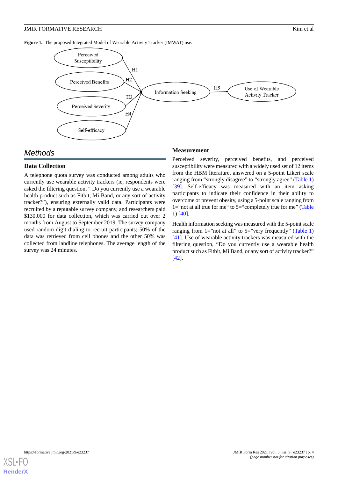<span id="page-4-0"></span>**Figure 1.** The proposed Integrated Model of Wearable Activity Tracker (IMWAT) use.



# *Methods*

## **Data Collection**

A telephone quota survey was conducted among adults who currently use wearable activity trackers (ie, respondents were asked the filtering question, " Do you currently use a wearable health product such as Fitbit, Mi Band, or any sort of activity tracker?"), ensuring externally valid data. Participants were recruited by a reputable survey company, and researchers paid \$130,000 for data collection, which was carried out over 2 months from August to September 2019. The survey company used random digit dialing to recruit participants; 50% of the data was retrieved from cell phones and the other 50% was collected from landline telephones. The average length of the survey was 24 minutes.

#### **Measurement**

Perceived severity, perceived benefits, and perceived susceptibility were measured with a widely used set of 12 items from the HBM literature, answered on a 5-point Likert scale ranging from "strongly disagree" to "strongly agree" [\(Table 1](#page-5-0)) [[39\]](#page-13-16). Self-efficacy was measured with an item asking participants to indicate their confidence in their ability to overcome or prevent obesity, using a 5-point scale ranging from 1="not at all true for me" to 5="completely true for me" ([Table](#page-5-0) [1\)](#page-5-0) [[40\]](#page-13-17).

Health information seeking was measured with the 5-point scale ranging from 1="not at all" to  $5=$ "very frequently" [\(Table 1](#page-5-0)) [[41\]](#page-13-18). Use of wearable activity trackers was measured with the filtering question, "Do you currently use a wearable health product such as Fitbit, Mi Band, or any sort of activity tracker?" [[42\]](#page-13-19).

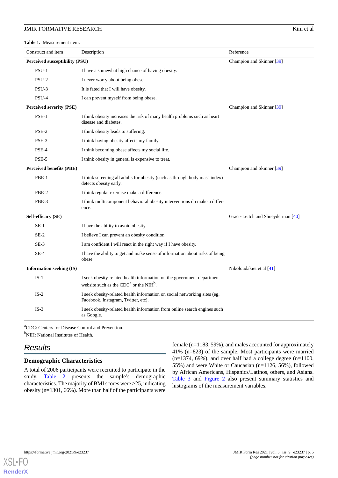#### **JMIR FORMATIVE RESEARCH Kim et al. CONSUMING THE EXECUTION CONSUMING THE EXECUTION CONSUMING THE EXECUTION**

<span id="page-5-0"></span>**Table 1.** Measurement item.

| Construct and item              | Description                                                                                                                              | Reference                         |
|---------------------------------|------------------------------------------------------------------------------------------------------------------------------------------|-----------------------------------|
| Perceived susceptibility (PSU)  |                                                                                                                                          | Champion and Skinner [39]         |
| $PSU-1$                         | I have a somewhat high chance of having obesity.                                                                                         |                                   |
| PSU-2                           | I never worry about being obese.                                                                                                         |                                   |
| PSU-3                           | It is fated that I will have obesity.                                                                                                    |                                   |
| PSU-4                           | I can prevent myself from being obese.                                                                                                   |                                   |
| <b>Perceived severity (PSE)</b> |                                                                                                                                          | Champion and Skinner [39]         |
| PSE-1                           | I think obesity increases the risk of many health problems such as heart<br>disease and diabetes.                                        |                                   |
| PSE-2                           | I think obesity leads to suffering.                                                                                                      |                                   |
| PSE-3                           | I think having obesity affects my family.                                                                                                |                                   |
| PSE-4                           | I think becoming obese affects my social life.                                                                                           |                                   |
| PSE-5                           | I think obesity in general is expensive to treat.                                                                                        |                                   |
| <b>Perceived benefits (PBE)</b> |                                                                                                                                          | Champion and Skinner [39]         |
| PBE-1                           | I think screening all adults for obesity (such as through body mass index)<br>detects obesity early.                                     |                                   |
| PBE-2                           | I think regular exercise make a difference.                                                                                              |                                   |
| PBE-3                           | I think multicomponent behavioral obesity interventions do make a differ-<br>ence.                                                       |                                   |
| Self-efficacy (SE)              |                                                                                                                                          | Grace-Leitch and Shneyderman [40] |
| $SE-1$                          | I have the ability to avoid obesity.                                                                                                     |                                   |
| $SE-2$                          | I believe I can prevent an obesity condition.                                                                                            |                                   |
| $SE-3$                          | I am confident I will react in the right way if I have obesity.                                                                          |                                   |
| $SE-4$                          | I have the ability to get and make sense of information about risks of being<br>obese.                                                   |                                   |
| <b>Information seeking (IS)</b> |                                                                                                                                          | Nikoloudakiet et al $[41]$        |
| $IS-1$                          | I seek obesity-related health information on the government department<br>website such as the CDC <sup>a</sup> or the NIH <sup>b</sup> . |                                   |
| $IS-2$                          | I seek obesity-related health information on social networking sites (eg.<br>Facebook, Instagram, Twitter, etc).                         |                                   |
| $IS-3$                          | I seek obesity-related health information from online search engines such<br>as Google.                                                  |                                   |

<sup>a</sup>CDC: Centers for Disease Control and Prevention. <sup>b</sup>NIH: National Institutes of Health.

# *Results*

#### **Demographic Characteristics**

A total of 2006 participants were recruited to participate in the study. [Table 2](#page-6-0) presents the sample's demographic characteristics. The majority of BMI scores were >25, indicating obesity (n=1301, 66%). More than half of the participants were

female (n=1183, 59%), and males accounted for approximately 41% (n=823) of the sample. Most participants were married  $(n=1374, 69\%)$ , and over half had a college degree  $(n=1100,$ 55%) and were White or Caucasian (n=1126, 56%), followed by African Americans, Hispanics/Latinos, others, and Asians. [Table 3](#page-7-0) and [Figure 2](#page-7-1) also present summary statistics and histograms of the measurement variables.

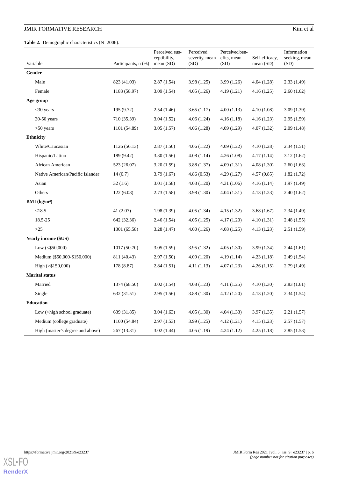# JMIR FORMATIVE RESEARCH

<span id="page-6-0"></span>**Table 2.** Demographic characteristics (N=2006).

| Kim et al |  |
|-----------|--|
|           |  |

|                                                                                                                                                                      |                     | Perceived sus-<br>ceptibility, | Perceived<br>severity, mean | Perceived ben-<br>efits, mean | Self-efficacy, | Information<br>seeking, mean |
|----------------------------------------------------------------------------------------------------------------------------------------------------------------------|---------------------|--------------------------------|-----------------------------|-------------------------------|----------------|------------------------------|
| Variable                                                                                                                                                             | Participants, n (%) | mean(SD)                       | (SD)                        | (SD)                          | mean (SD)      | (SD)                         |
| Gender                                                                                                                                                               |                     |                                |                             |                               |                |                              |
| Male                                                                                                                                                                 | 823 (41.03)         | 2.87(1.54)                     | 3.98(1.25)                  | 3.99(1.26)                    | 4.04 (1.28)    | 2.33(1.49)                   |
| Female                                                                                                                                                               | 1183 (58.97)        | 3.09(1.54)                     | 4.05(1.26)                  | 4.19(1.21)                    | 4.16(1.25)     | 2.60(1.62)                   |
| Age group                                                                                                                                                            |                     |                                |                             |                               |                |                              |
| $<$ 30 years                                                                                                                                                         | 195 (9.72)          | 2.54(1.46)                     | 3.65(1.17)                  | 4.00(1.13)                    | 4.10(1.08)     | 3.09(1.39)                   |
| $30-50$ years                                                                                                                                                        | 710 (35.39)         | 3.04(1.52)                     | 4.06(1.24)                  | 4.16(1.18)                    | 4.16(1.23)     | 2.95(1.59)                   |
| $>50$ years                                                                                                                                                          | 1101 (54.89)        | 3.05(1.57)                     | 4.06(1.28)                  | 4.09(1.29)                    | 4.07(1.32)     | 2.09(1.48)                   |
| Ethnicity                                                                                                                                                            |                     |                                |                             |                               |                |                              |
| White/Caucasian                                                                                                                                                      | 1126(56.13)         | 2.87(1.50)                     | 4.06(1.22)                  | 4.09(1.22)                    | 4.10(1.28)     | 2.34(1.51)                   |
| Hispanic/Latino                                                                                                                                                      | 189 (9.42)          | 3.30(1.56)                     | 4.08(1.14)                  | 4.26(1.08)                    | 4.17(1.14)     | 3.12(1.62)                   |
| African American                                                                                                                                                     | 523 (26.07)         | 3.20(1.59)                     | 3.88(1.37)                  | 4.09(1.31)                    | 4.08(1.30)     | 2.60(1.63)                   |
| Native American/Pacific Islander                                                                                                                                     | 14(0.7)             | 3.79(1.67)                     | 4.86(0.53)                  | 4.29(1.27)                    | 4.57(0.85)     | 1.82(1.72)                   |
| Asian                                                                                                                                                                | 32(1.6)             | 3.01(1.58)                     | 4.03(1.20)                  | 4.31(1.06)                    | 4.16(1.14)     | 1.97(1.49)                   |
| Others                                                                                                                                                               | 122(6.08)           | 2.73(1.58)                     | 3.98(1.30)                  | 4.04(1.31)                    | 4.13(1.23)     | 2.40(1.62)                   |
| BMI (kg/m <sup>2</sup> )                                                                                                                                             |                     |                                |                             |                               |                |                              |
| <18.5                                                                                                                                                                | 41 (2.07)           | 1.98(1.39)                     | 4.05(1.34)                  | 4.15(1.32)                    | 3.68(1.67)     | 2.34(1.49)                   |
| 18.5-25                                                                                                                                                              | 642 (32.36)         | 2.46(1.54)                     | 4.05(1.25)                  | 4.17(1.20)                    | 4.10(1.31)     | 2.48(1.55)                   |
| $>25$                                                                                                                                                                | 1301 (65.58)        | 3.28(1.47)                     | 4.00(1.26)                  | 4.08(1.25)                    | 4.13 (1.23)    | 2.51(1.59)                   |
| <b>Yearly income (\$US)</b>                                                                                                                                          |                     |                                |                             |                               |                |                              |
| Low $(<\,$ \$50,000)                                                                                                                                                 | 1017(50.70)         | 3.05(1.59)                     | 3.95(1.32)                  | 4.05(1.30)                    | 3.99(1.34)     | 2.44(1.61)                   |
| Medium (\$50,000-\$150,000)                                                                                                                                          | 811 (40.43)         | 2.97(1.50)                     | 4.09(1.20)                  | 4.19(1.14)                    | 4.23(1.18)     | 2.49(1.54)                   |
| High $(>\$150,000)$                                                                                                                                                  | 178 (8.87)          | 2.84(1.51)                     | 4.11(1.13)                  | 4.07(1.23)                    | 4.26(1.15)     | 2.79(1.49)                   |
| <b>Marital status</b>                                                                                                                                                |                     |                                |                             |                               |                |                              |
| Married                                                                                                                                                              | 1374 (68.50)        | 3.02(1.54)                     | 4.08(1.23)                  | 4.11(1.25)                    | 4.10(1.30)     | 2.83(1.61)                   |
| Single                                                                                                                                                               | 632 (31.51)         | 2.95(1.56)                     | 3.88(1.30)                  | 4.12(1.20)                    | 4.13(1.20)     | 2.34(1.54)                   |
| <b>Education</b>                                                                                                                                                     |                     |                                |                             |                               |                |                              |
| Low ( <high graduate)<="" school="" td=""><td>639 (31.85)</td><td>3.04(1.63)</td><td>4.05(1.30)</td><td>4.04(1.33)</td><td>3.97(1.35)</td><td>2.21(1.57)</td></high> | 639 (31.85)         | 3.04(1.63)                     | 4.05(1.30)                  | 4.04(1.33)                    | 3.97(1.35)     | 2.21(1.57)                   |
| Medium (college graduate)                                                                                                                                            | 1100 (54.84)        | 2.97(1.53)                     | 3.99(1.25)                  | 4.12(1.21)                    | 4.15(1.23)     | 2.57(1.57)                   |
| High (master's degree and above)                                                                                                                                     | 267 (13.31)         | 3.02(1.44)                     | 4.05(1.19)                  | 4.24(1.12)                    | 4.25(1.18)     | 2.85(1.53)                   |

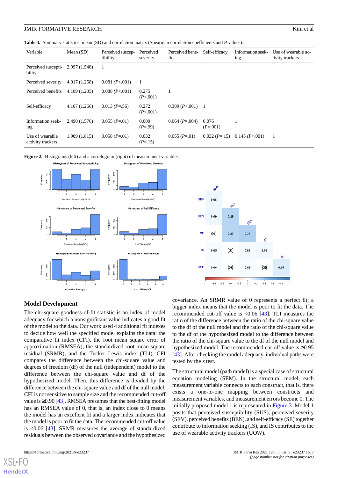<span id="page-7-0"></span>**Table 3.** Summary statistics: mean (SD) and correlation matrix (Spearman correlation coefficients and *P* values).

| Variable                             | Mean $(SD)$   | Perceived suscep-<br>tibility | Perceived<br>severity | Perceived bene-<br>fits   | Self-efficacy       | Information seek-<br>ing | Use of wearable ac-<br>tivity trackers |
|--------------------------------------|---------------|-------------------------------|-----------------------|---------------------------|---------------------|--------------------------|----------------------------------------|
| Perceived suscepti-<br>bility        | 2.997 (1.548) | 1                             |                       |                           |                     |                          |                                        |
| Perceived severity                   | 4.017(1.258)  | 0.081 (P<.001)                | -1                    |                           |                     |                          |                                        |
| Perceived benefits                   | 4.109(1.235)  | $0.088$ ( <i>P</i> <.001)     | 0.275<br>(P<.001)     |                           |                     |                          |                                        |
| Self-efficacy                        | 4.107(1.266)  | $0.013(P=.56)$                | 0.272<br>(P<.001)     | $0.309$ ( <i>P</i> <.001) | $\overline{1}$      |                          |                                        |
| Information seek-<br>ing             | 2.490(1.576)  | $0.055(P=.01)$                | 0.000<br>$(P=.99)$    | $0.064(P=.004)$           | 0.076<br>$(P=.001)$ |                          |                                        |
| Use of wearable<br>activity trackers | 1.909(1.815)  | $0.058 (P = 01)$              | 0.032<br>$(P=15)$     | $0.055(P=01)$             | $0.032(P=.15)$      | 0.145(P<.001)            |                                        |

<span id="page-7-1"></span>



#### **Model Development**

The chi-square goodness-of-fit statistic is an index of model adequacy for which a nonsignificant value indicates a good fit of the model to the data. Our work used 4 additional fit indexes to decide how well the specified model explains the data: the comparative fit index (CFI), the root mean square error of approximation (RMSEA), the standardized root mean square residual (SRMR), and the Tucker–Lewis index (TLI). CFI compares the difference between the chi-square value and degrees of freedom (df) of the null (independent) model to the difference between the chi-square value and df of the hypothesized model. Then, this difference is divided by the difference between the chi-square value and df of the null model. CFI is not sensitive to sample size and the recommended cut-off value is  $\geq$ 0.90 [\[43\]](#page-13-20). RMSEA presumes that the best-fitting model has an RMSEA value of 0, that is, an index close to 0 means the model has an excellent fit and a larger index indicates that the model is poor to fit the data. The recommended cut-off value is <0.06 [[43\]](#page-13-20). SRMR measures the average of standardized residuals between the observed covariance and the hypothesized

[XSL](http://www.w3.org/Style/XSL)•FO **[RenderX](http://www.renderx.com/)**

covariance. An SRMR value of 0 represents a perfect fit; a bigger index means that the model is poor to fit the data. The recommended cut-off value is <0.06 [[43\]](#page-13-20). TLI measures the ratio of the difference between the ratio of the chi-square value to the df of the null model and the ratio of the chi-square value to the df of the hypothesized model to the difference between the ratio of the chi-square value to the df of the null model and hypothesized model. The recommended cut-off value is ≥0.95 [[43\]](#page-13-20). After checking the model adequacy, individual paths were tested by the *z* test.

The structural model (path model) is a special case of structural equation modeling (SEM). In the structural model, each measurement variable connects to each construct, that is, there exists a one-to-one mapping between constructs and measurement variables, and measurement errors become 0. The initially proposed model 1 is represented in [Figure 3.](#page-8-0) Model 1 posits that perceived susceptibility (SUS), perceived severity (SEV), perceived benefits (BEN), and self-efficacy (SE) together contribute to information seeking (IS), and IS contributes to the use of wearable activity trackers (UOW).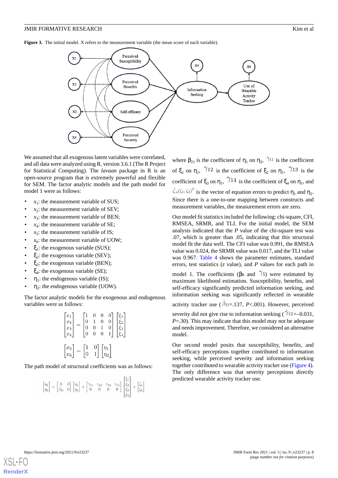#### **JMIR FORMATIVE RESEARCH Kim et al. SIMIR FORMATIVE RESEARCH**

<span id="page-8-0"></span>**Figure 3.** The initial model. X refers to the measurement variable (the mean score of each variable).



We assumed that all exogenous latent variables were correlated, and all data were analyzed using R, version 3.6.1 (The R Project for Statistical Computing). The *lavaan* package in R is an open-source program that is extremely powerful and flexible for SEM. The factor analytic models and the path model for model 1 were as follows:

- $x_1$ : the measurement variable of SUS;
- $x_2$ : the measurement variable of SEV;
- $x_3$ : the measurement variable of BEN;
- $x_4$ : the measurement variable of SE;
- $x_5$ : the measurement variable of IS;
- $x_6$ : the measurement variable of UOW;
- $\xi_1$ : the exogenous variable (SUS);
- $\xi_2$ : the exogenous variable (SEV);
- $\xi_3$ : the exogenous variable (BEN);
- $\xi_4$ : the exogenous variable (SE);
- $\eta_1$ : the endogenous variable (IS);
- $\bullet$   $\eta_2$ : the endogenous variable (UOW).

The factor analytic models for the exogenous and endogenous variables were as follows:

| $\begin{bmatrix} x_1 \\ x_2 \\ x_3 \\ x_4 \end{bmatrix}$ | $\boldsymbol{0}$<br>$\overline{0}$<br>$\overline{0}$      | $\boldsymbol{0}$<br>$\begin{array}{c} 0 \\ 0 \end{array}$ | 0<br>$\boldsymbol{0}$<br>$\overline{0}$ | 01<br>0<br>0                                     | $\xi_1$<br>$\xi_2$<br>$\xi_3$<br>$\xi_4$ |
|----------------------------------------------------------|-----------------------------------------------------------|-----------------------------------------------------------|-----------------------------------------|--------------------------------------------------|------------------------------------------|
| $\begin{bmatrix} x_5 \\ x_6 \end{bmatrix} =$             | $\Big  \begin{smallmatrix} 1 \ 0 \end{smallmatrix} \Big $ | $\begin{bmatrix} 0 \\ 1 \end{bmatrix}$                    |                                         | $\begin{bmatrix} \eta_1 \\ \eta_2 \end{bmatrix}$ |                                          |

The path model of structural coefficients was as follows:

$$
\begin{bmatrix} \eta_1 \\ \eta_2 \end{bmatrix} = \begin{bmatrix} 0 & 0 \\ \beta_{21} & 0 \end{bmatrix} \begin{bmatrix} \eta_1 \\ \eta_2 \end{bmatrix} + \begin{bmatrix} \gamma_{11} & \gamma_{12} & \gamma_{13} & \gamma_{14} \\ 0 & 0 & 0 & 0 \end{bmatrix} \begin{bmatrix} \xi_1 \\ \xi_2 \\ \xi_3 \\ \xi_4 \end{bmatrix} + \begin{bmatrix} \zeta_1 \\ \zeta_2 \end{bmatrix}
$$

where  $\beta_{21}$  is the coefficient of  $\eta_1$  on  $\eta_2$ ,  $\gamma_{11}$  is the coefficient of  $\xi_1$  on  $\eta_1$ ,  $\eta_2$  is the coefficient of  $\xi_2$  on  $\eta_1$ ,  $\eta_3$  is the coefficient of  $\xi_3$  on  $\eta_1$ ,  $/14$  is the coefficient of  $\xi_4$  on  $\eta_1$ , and is the vector of equation errors to predict  $\eta_1$  and  $\eta_2$ . Since there is a one-to-one mapping between constructs and measurement variables, the measurement errors are zero.

Our model fit statistics included the following: chi-square, CFI, RMSEA, SRMR, and TLI. For the initial model, the SEM analysis indicated that the *P* value of the chi-square test was .07, which is greater than .05, indicating that this structural model fit the data well. The CFI value was 0.991, the RMSEA value was 0.024, the SRMR value was 0.017, and the TLI value was 0.967. [Table 4](#page-9-0) shows the parameter estimates, standard errors, test statistics (*z* value), and *P* values for each path in model 1. The coefficients ( $\beta$ s and  $\gamma$ s) were estimated by maximum likelihood estimation. Susceptibility, benefits, and self-efficacy significantly predicted information seeking, and information seeking was significantly reflected in wearable activity tracker use ( $\hat{\beta}_{21}$ =.137, *P*<.001). However, perceived severity did not give rise to information seeking  $(\hat{7}12=-0.031,$ *P*=.30). This may indicate that this model may not be adequate and needs improvement. Therefore, we considered an alternative model.

Our second model posits that susceptibility, benefits, and self-efficacy perceptions together contributed to information seeking, while perceived severity and information seeking together contributed to wearable activity tracker use ([Figure 4\)](#page-9-1). The only difference was that severity perceptions directly predicted wearable activity tracker use.

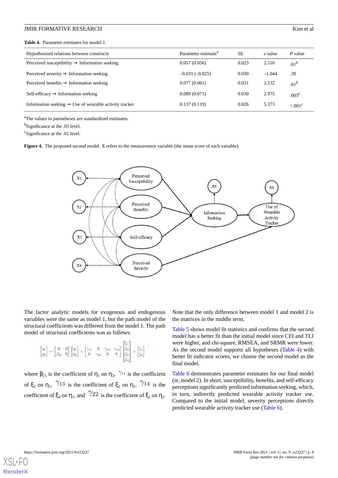#### **JMIR FORMATIVE RESEARCH Kim et al. SIMIR FORMATIVE RESEARCH**

<span id="page-9-0"></span>**Table 4.** Parameter estimates for model 1.

| Hypothesized relations between constructs                          | Parameter estimate <sup>a</sup> | <b>SE</b> | z value  | P value               |
|--------------------------------------------------------------------|---------------------------------|-----------|----------|-----------------------|
| Perceived susceptibility $\rightarrow$ Information seeking         | 0.057(0.056)                    | 0.023     | 2.516    | .01 <sup>b</sup>      |
| Perceived severity $\rightarrow$ Information seeking               | $-0.031(-0.025)$                | 0.030     | $-1.044$ | .30                   |
| Perceived benefits $\rightarrow$ Information seeking               | 0.077(0.061)                    | 0.031     | 2.532    | $.01^{\rm b}$         |
| $Self\text{-efficacy} \rightarrow Information\text{ seeking}$      | 0.089(0.071)                    | 0.030     | 2.975    | .003 <sup>c</sup>     |
| Information seeking $\rightarrow$ Use of wearable activity tracker | 0.137(0.119)                    | 0.026     | 5.373    | $< 0.01$ <sup>c</sup> |
|                                                                    |                                 |           |          |                       |

<sup>a</sup>The values in parentheses are standardized estimates.

<sup>b</sup>Significance at the .05 level.

<span id="page-9-1"></span>c Significance at the .01 level.

Figure 4. The proposed second model. X refers to the measurement variable (the mean score of each variable).



The factor analytic models for exogenous and endogenous variables were the same as model 1, but the path model of the structural coefficients was different from the model 1. The path model of structural coefficients was as follows:

$$
\begin{bmatrix} \eta_1 \\ \eta_2 \end{bmatrix} = \begin{bmatrix} 0 & 0 \\ \beta_{21} & 0 \end{bmatrix} \begin{bmatrix} \eta_1 \\ \eta_2 \end{bmatrix} + \begin{bmatrix} \gamma_{11} & 0 & \gamma_{13} & \gamma_{14} \\ 0 & \gamma_{22} & 0 & 0 \end{bmatrix} \begin{bmatrix} \xi_1 \\ \xi_2 \\ \xi_3 \\ \xi_4 \end{bmatrix} + \begin{bmatrix} \zeta_1 \\ \zeta_2 \end{bmatrix}
$$

where  $\beta_{21}$  is the coefficient of  $\eta_1$  on  $\eta_2$ , <sup>711</sup> is the coefficient of  $\xi_1$  on  $\eta_1$ ,  $\pi/13$  is the coefficient of  $\xi_3$  on  $\eta_1$ ,  $\pi/14$  is the coefficient of  $\xi_4$  on  $\eta_1$ , and  $\pi/22$  is the coefficient of  $\xi_2$  on  $\eta_2$ . Note that the only difference between model 1 and model 2 is the matrices in the middle term.

[Table 5](#page-10-0) shows model fit statistics and confirms that the second model has a better fit than the initial model since CFI and TLI were higher, and chi-square, RMSEA, and SRMR were lower. As the second model supports all hypotheses [\(Table 4\)](#page-9-0) with better fit indicator scores, we choose the second model as the final model.

[Table 6](#page-10-1) demonstrates parameter estimates for our final model (ie, model 2). In short, susceptibility, benefits, and self-efficacy perceptions significantly predicted information seeking, which, in turn, indirectly predicted wearable activity tracker use. Compared to the initial model, severity perceptions directly predicted wearable activity tracker use ([Table 6\)](#page-10-1).

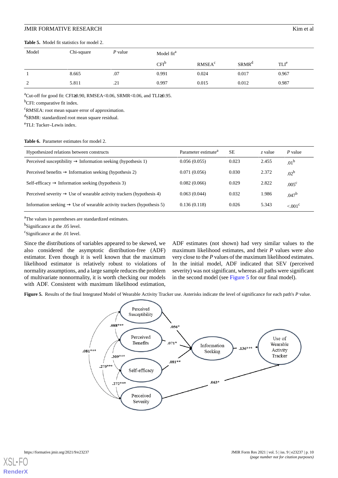#### **JMIR FORMATIVE RESEARCH Kim et al. SIMIR FORMATIVE RESEARCH**

#### <span id="page-10-0"></span>**Table 5.** Model fit statistics for model 2.

| Model         | Chi-square | P value | Model fit <sup>a</sup> |                          |                   |                  |
|---------------|------------|---------|------------------------|--------------------------|-------------------|------------------|
|               |            |         | $CFI^{\circ}$          | <b>RMSEA<sup>c</sup></b> | SRMR <sup>a</sup> | TLI <sup>e</sup> |
|               | 8.665      | .07     | 0.991                  | 0.024                    | 0.017             | 0.967            |
| $\mathcal{D}$ | 5.811      | .21     | 0.997                  | 0.015                    | 0.012             | 0.987            |

<sup>a</sup>Cut-off for good fit: CFI≥0.90, RMSEA<0.06, SRMR<0.06, and TLI≥0.95.

<sup>b</sup>CFI: comparative fit index.

<sup>c</sup>RMSEA: root mean square error of approximation.

<sup>d</sup>SRMR: standardized root mean square residual.

<span id="page-10-1"></span><sup>e</sup>TLI: Tucker–Lewis index.

#### Table 6. Parameter estimates for model 2.

| Hypothesized relations between constructs                                          | Parameter estimate <sup>a</sup> | <b>SE</b> | z value | P value               |
|------------------------------------------------------------------------------------|---------------------------------|-----------|---------|-----------------------|
| Perceived susceptibility $\rightarrow$ Information seeking (hypothesis 1)          | 0.056(0.055)                    | 0.023     | 2.455   | .01 <sup>b</sup>      |
| Perceived benefits $\rightarrow$ Information seeking (hypothesis 2)                | 0.071(0.056)                    | 0.030     | 2.372   | $.02^{b}$             |
| Self-efficacy $\rightarrow$ Information seeking (hypothesis 3)                     | 0.082(0.066)                    | 0.029     | 2.822   | .005 <sup>c</sup>     |
| Perceived severity $\rightarrow$ Use of wearable activity trackers (hypothesis 4)  | 0.063(0.044)                    | 0.032     | 1.986   | .047 <sup>b</sup>     |
| Information seeking $\rightarrow$ Use of wearable activity trackers (hypothesis 5) | 0.136(0.118)                    | 0.026     | 5.343   | $< 0.01$ <sup>c</sup> |

<sup>a</sup>The values in parentheses are standardized estimates.

<sup>b</sup>Significance at the .05 level.

<sup>c</sup>Significance at the .01 level.

<span id="page-10-2"></span>Since the distributions of variables appeared to be skewed, we also considered the asymptotic distribution-free (ADF) estimator. Even though it is well known that the maximum likelihood estimator is relatively robust to violations of normality assumptions, and a large sample reduces the problem of multivariate nonnormality, it is worth checking our models with ADF. Consistent with maximum likelihood estimation,

ADF estimates (not shown) had very similar values to the maximum likelihood estimates, and their *P* values were also very close to the *P* values of the maximum likelihood estimates. In the initial model, ADF indicated that SEV (perceived severity) was not significant, whereas all paths were significant in the second model (see [Figure 5](#page-10-2) for our final model).

**Figure 5.** Results of the final Integrated Model of Wearable Activity Tracker use. Asterisks indicate the level of significance for each path's *P* value.



 $X$ SL • **[RenderX](http://www.renderx.com/)**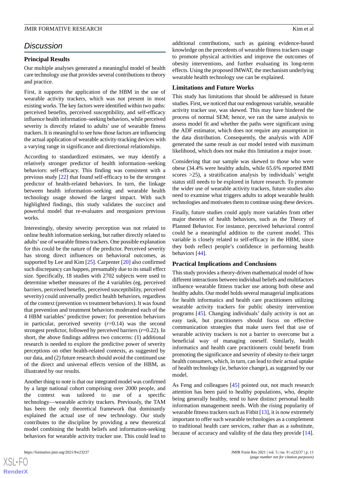# *Discussion*

#### **Principal Results**

Our multiple analyses generated a meaningful model of health care technology use that provides several contributions to theory and practice.

First, it supports the application of the HBM in the use of wearable activity trackers, which was not present in most existing works. The key factors were identified within two paths: perceived benefits, perceived susceptibility, and self-efficacy influence health information–seeking behaviors, while perceived severity is directly related to adults' use of wearable fitness trackers. It is meaningful to see how those factors are influencing the actual application of wearable activity-tracking devices with a varying range in significance and directional relationships.

According to standardized estimates, we may identify a relatively stronger predictor of health information–seeking behaviors: self-efficacy. This finding was consistent with a previous study [[22\]](#page-13-0) that found self-efficacy to be the strongest predictor of health-related behaviors. In turn, the linkage between health information–seeking and wearable health technology usage showed the largest impact. With such highlighted findings, this study validates the succinct and powerful model that re-evaluates and reorganizes previous works.

Interestingly, obesity severity perception was not related to online health information seeking, but rather directly related to adults'use of wearable fitness trackers. One possible explanation for this could be the nature of the predictor. Perceived severity has strong direct influences on behavioral outcomes, as supported by Lee and Kim [[25\]](#page-13-3). Carpenter [[20\]](#page-12-18) also confirmed such discrepancy can happen, presumably due to its small effect size. Specifically, 18 studies with 2702 subjects were used to determine whether measures of the 4 variables (eg, perceived barriers, perceived benefits, perceived susceptibility, perceived severity) could universally predict health behaviors, regardless of the context (prevention vs treatment behaviors). It was found that prevention and treatment behaviors moderated each of the 4 HBM variables' predictive power; for prevention behaviors in particular, perceived severity (*r*=0.14) was the second strongest predictor, followed by perceived barriers (*r*=0.22). In short, the above findings address two concerns: (1) additional research is needed to explore the predictive power of severity perceptions on other health-related contexts, as suggested by our data, and (2) future research should avoid the continued use of the direct and universal effects version of the HBM, as illustrated by our results.

Another thing to note is that our integrated model was confirmed by a large national cohort comprising over 2000 people, and the context was tailored to use of a specific technology—wearable activity trackers. Previously, the TAM has been the only theoretical framework that dominantly explained the actual use of new technology. Our study contributes to the discipline by providing a new theoretical model combining the health beliefs and information-seeking behaviors for wearable activity tracker use. This could lead to

 $XS$  $\cdot$ FC **[RenderX](http://www.renderx.com/)** additional contributions, such as gaining evidence-based knowledge on the precedents of wearable fitness trackers usage to promote physical activities and improve the outcomes of obesity interventions, and further evaluating its long-term effects. Using the proposed IMWAT, the mechanism underlying wearable health technology use can be explained.

#### **Limitations and Future Works**

This study has limitations that should be addressed in future studies. First, we noticed that our endogenous variable, wearable activity tracker use, was skewed. This may have hindered the process of normal SEM; hence, we ran the same analysis to assess model fit and whether the paths were significant using the ADF estimator, which does not require any assumption in the data distribution. Consequently, the analysis with ADF generated the same result as our model tested with maximum likelihood, which does not make this limitation a major issue.

Considering that our sample was skewed to those who were obese (34.4% were healthy adults, while 65.6% reported BMI scores >25), a stratification analysis by individuals' weight status still needs to be explored in future research. To promote the wider use of wearable activity trackers, future studies also need to examine what triggers adults to adopt wearable health technologies and motivates them to continue using these devices.

Finally, future studies could apply more variables from other major theories of health behaviors, such as the Theory of Planned Behavior. For instance, perceived behavioral control could be a meaningful addition to the current model. This variable is closely related to self-efficacy in the HBM, since they both reflect people's confidence in performing health behaviors [\[44](#page-13-21)].

#### **Practical Implications and Conclusions**

This study provides a theory-driven mathematical model of how different interactions between individual beliefs and multifactors influence wearable fitness tracker use among both obese and healthy adults. Our model holds several managerial implications for health informatics and health care practitioners utilizing wearable activity trackers for public obesity intervention programs [\[45](#page-13-22)]. Changing individuals' daily activity is not an easy task, but practitioners should focus on effective communication strategies that make users feel that use of wearable activity trackers is not a barrier to overcome but a beneficial way of managing oneself. Similarly, health informatics and health care practitioners could benefit from promoting the significance and severity of obesity to their target health consumers, which, in turn, can lead to their actual uptake of health technology (ie, behavior change), as suggested by our model.

As Feng and colleagues [[45\]](#page-13-22) pointed out, not much research attention has been paid to healthy populations, who, despite being generally healthy, tend to have distinct personal health information management needs. With the rising popularity of wearable fitness trackers such as Fitbit [\[13](#page-12-20)], it is now extremely important to offer such wearable technologies as a complement to traditional health care services, rather than as a substitute, because of accuracy and validity of the data they provide [[14\]](#page-12-12).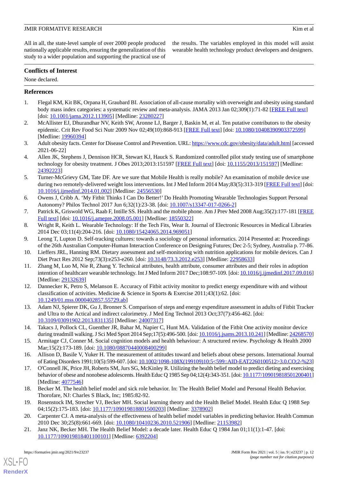All in all, the state-level sample of over 2000 people produced nationally applicable results, ensuring the generalization of this study to a wider population and supporting the practical use of the results. The variables employed in this model will assist wearable health technology product developers and designers.

# **Conflicts of Interest**

None declared.

# <span id="page-12-0"></span>**References**

- <span id="page-12-1"></span>1. Flegal KM, Kit BK, Orpana H, Graubard BI. Association of all-cause mortality with overweight and obesity using standard body mass index categories: a systematic review and meta-analysis. JAMA 2013 Jan 02;309(1):71-82 [\[FREE Full text\]](http://europepmc.org/abstract/MED/23280227) [doi: [10.1001/jama.2012.113905\]](http://dx.doi.org/10.1001/jama.2012.113905) [Medline: [23280227](http://www.ncbi.nlm.nih.gov/entrez/query.fcgi?cmd=Retrieve&db=PubMed&list_uids=23280227&dopt=Abstract)]
- <span id="page-12-2"></span>2. McAllister EJ, Dhurandhar NV, Keith SW, Aronne LJ, Barger J, Baskin M, et al. Ten putative contributors to the obesity epidemic. Crit Rev Food Sci Nutr 2009 Nov 02;49(10):868-913 [\[FREE Full text\]](http://europepmc.org/abstract/MED/19960394) [doi: [10.1080/10408390903372599\]](http://dx.doi.org/10.1080/10408390903372599) [Medline: [19960394](http://www.ncbi.nlm.nih.gov/entrez/query.fcgi?cmd=Retrieve&db=PubMed&list_uids=19960394&dopt=Abstract)]
- <span id="page-12-3"></span>3. Adult obesity facts. Center for Disease Control and Prevention. URL:<https://www.cdc.gov/obesity/data/adult.html> [accessed 2021-06-22]
- <span id="page-12-4"></span>4. Allen JK, Stephens J, Dennison HCR, Stewart KJ, Hauck S. Randomized controlled pilot study testing use of smartphone technology for obesity treatment. J Obes 2013;2013:151597 [[FREE Full text](http://dx.doi.org/10.1155/2013/151597)] [doi: [10.1155/2013/151597](http://dx.doi.org/10.1155/2013/151597)] [Medline: [24392223](http://www.ncbi.nlm.nih.gov/entrez/query.fcgi?cmd=Retrieve&db=PubMed&list_uids=24392223&dopt=Abstract)]
- <span id="page-12-5"></span>5. Turner-McGrievy GM, Tate DF. Are we sure that Mobile Health is really mobile? An examination of mobile device use during two remotely-delivered weight loss interventions. Int J Med Inform 2014 May;83(5):313-319 [[FREE Full text](http://europepmc.org/abstract/MED/24556530)] [doi: [10.1016/j.ijmedinf.2014.01.002\]](http://dx.doi.org/10.1016/j.ijmedinf.2014.01.002) [Medline: [24556530](http://www.ncbi.nlm.nih.gov/entrez/query.fcgi?cmd=Retrieve&db=PubMed&list_uids=24556530&dopt=Abstract)]
- <span id="page-12-7"></span><span id="page-12-6"></span>6. Owens J, Cribb A. 'My Fitbit Thinks I Can Do Better!' Do Health Promoting Wearable Technologies Support Personal Autonomy? Philos Technol 2017 Jun 6;32(1):23-38. [doi: [10.1007/s13347-017-0266-2](http://dx.doi.org/10.1007/s13347-017-0266-2)]
- <span id="page-12-8"></span>7. Patrick K, Griswold WG, Raab F, Intille SS. Health and the mobile phone. Am J Prev Med 2008 Aug;35(2):177-181 [\[FREE](http://europepmc.org/abstract/MED/18550322) [Full text\]](http://europepmc.org/abstract/MED/18550322) [doi: [10.1016/j.amepre.2008.05.001\]](http://dx.doi.org/10.1016/j.amepre.2008.05.001) [Medline: [18550322\]](http://www.ncbi.nlm.nih.gov/entrez/query.fcgi?cmd=Retrieve&db=PubMed&list_uids=18550322&dopt=Abstract)
- <span id="page-12-9"></span>8. Wright R, Keith L. Wearable Technology: If the Tech Fits, Wear It. Journal of Electronic Resources in Medical Libraries 2014 Dec 03;11(4):204-216. [doi: [10.1080/15424065.2014.969051\]](http://dx.doi.org/10.1080/15424065.2014.969051)
- <span id="page-12-10"></span>9. Leong T, Lupton D. Self-tracking cultures: towards a sociology of personal informatics. 2014 Presented at: Proceedings of the 26th Australian Computer-Human Interaction Conference on Designing Futures; Dec 2-5; Sydney, Australia p. 77-86.
- <span id="page-12-11"></span>10. Lieffers JRL, Hanning RM. Dietary assessment and self-monitoring with nutrition applications for mobile devices. Can J Diet Pract Res 2012 Sep;73(3):e253-e260. [doi: [10.3148/73.3.2012.e253](http://dx.doi.org/10.3148/73.3.2012.e253)] [Medline: [22958633](http://www.ncbi.nlm.nih.gov/entrez/query.fcgi?cmd=Retrieve&db=PubMed&list_uids=22958633&dopt=Abstract)]
- 11. Zhang M, Luo M, Nie R, Zhang Y. Technical attributes, health attribute, consumer attributes and their roles in adoption intention of healthcare wearable technology. Int J Med Inform 2017 Dec;108:97-109. [doi: [10.1016/j.ijmedinf.2017.09.016\]](http://dx.doi.org/10.1016/j.ijmedinf.2017.09.016) [Medline: [29132639](http://www.ncbi.nlm.nih.gov/entrez/query.fcgi?cmd=Retrieve&db=PubMed&list_uids=29132639&dopt=Abstract)]
- <span id="page-12-20"></span><span id="page-12-12"></span>12. Dannecker K, Petro S, Melanson E. Accuracy of Fitbit activity monitor to predict energy expenditure with and without classification of activities. Medicine & Science in Sports & Exercise 2011;43(1):62. [doi: [10.1249/01.mss.0000402857.55729.ab\]](http://dx.doi.org/10.1249/01.mss.0000402857.55729.ab)
- <span id="page-12-13"></span>13. Adam NJ, Spierer DK, Gu J, Bronner S. Comparison of steps and energy expenditure assessment in adults of Fitbit Tracker and Ultra to the Actical and indirect calorimetry. J Med Eng Technol 2013 Oct;37(7):456-462. [doi: [10.3109/03091902.2013.831135\]](http://dx.doi.org/10.3109/03091902.2013.831135) [Medline: [24007317\]](http://www.ncbi.nlm.nih.gov/entrez/query.fcgi?cmd=Retrieve&db=PubMed&list_uids=24007317&dopt=Abstract)
- <span id="page-12-15"></span><span id="page-12-14"></span>14. Takacs J, Pollock CL, Guenther JR, Bahar M, Napier C, Hunt MA. Validation of the Fitbit One activity monitor device during treadmill walking. J Sci Med Sport 2014 Sep;17(5):496-500. [doi: [10.1016/j.jsams.2013.10.241](http://dx.doi.org/10.1016/j.jsams.2013.10.241)] [Medline: [24268570\]](http://www.ncbi.nlm.nih.gov/entrez/query.fcgi?cmd=Retrieve&db=PubMed&list_uids=24268570&dopt=Abstract)
- 15. Armitage CJ, Conner M. Social cognition models and health behaviour: A structured review. Psychology & Health 2000 Mar;15(2):173-189. [doi: [10.1080/08870440008400299](http://dx.doi.org/10.1080/08870440008400299)]
- <span id="page-12-16"></span>16. Allison D, Basile V, Yuker H. The measurement of attitudes toward and beliefs about obese persons. International Journal of Eating Disorders 1991;10(5):599-607. [doi: [10.1002/1098-108X\(199109\)10:5<599::AID-EAT2260100512>3.0.CO;2-%23](http://dx.doi.org/10.1002/1098-108X(199109)10:5<599::AID-EAT2260100512>3.0.CO;2-%23)]
- <span id="page-12-18"></span><span id="page-12-17"></span>17. O'Connell JK, Price JH, Roberts SM, Jurs SG, McKinley R. Utilizing the health belief model to predict dieting and exercising behavior of obese and nonobese adolescents. Health Educ Q 1985 Sep 04;12(4):343-351. [doi: [10.1177/109019818501200401\]](http://dx.doi.org/10.1177/109019818501200401) [Medline: [4077546\]](http://www.ncbi.nlm.nih.gov/entrez/query.fcgi?cmd=Retrieve&db=PubMed&list_uids=4077546&dopt=Abstract)
- <span id="page-12-19"></span>18. Becker M. The health belief model and sick role behavior. In: The Health Belief Model and Personal Health Behavior. Thorofare, NJ: Charles S Black, Inc; 1985:82-92.
- 19. Rosenstock IM, Strecher VJ, Becker MH. Social learning theory and the Health Belief Model. Health Educ Q 1988 Sep 04;15(2):175-183. [doi: [10.1177/109019818801500203\]](http://dx.doi.org/10.1177/109019818801500203) [Medline: [3378902\]](http://www.ncbi.nlm.nih.gov/entrez/query.fcgi?cmd=Retrieve&db=PubMed&list_uids=3378902&dopt=Abstract)
- 20. Carpenter CJ. A meta-analysis of the effectiveness of health belief model variables in predicting behavior. Health Commun 2010 Dec 30;25(8):661-669. [doi: [10.1080/10410236.2010.521906\]](http://dx.doi.org/10.1080/10410236.2010.521906) [Medline: [21153982\]](http://www.ncbi.nlm.nih.gov/entrez/query.fcgi?cmd=Retrieve&db=PubMed&list_uids=21153982&dopt=Abstract)
- 21. Janz NK, Becker MH. The Health Belief Model: a decade later. Health Educ Q 1984 Jan 01;11(1):1-47. [doi: [10.1177/109019818401100101\]](http://dx.doi.org/10.1177/109019818401100101) [Medline: [6392204\]](http://www.ncbi.nlm.nih.gov/entrez/query.fcgi?cmd=Retrieve&db=PubMed&list_uids=6392204&dopt=Abstract)

[XSL](http://www.w3.org/Style/XSL)•FO **[RenderX](http://www.renderx.com/)**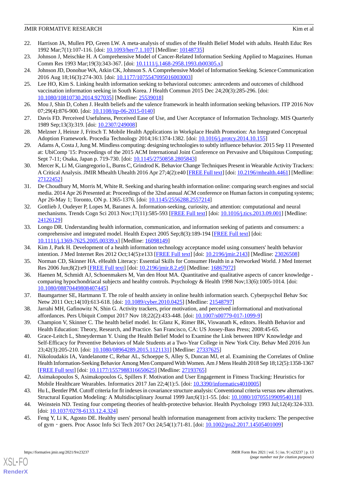- <span id="page-13-0"></span>22. Harrison JA, Mullen PD, Green LW. A meta-analysis of studies of the Health Belief Model with adults. Health Educ Res 1992 Mar;7(1):107-116. [doi: [10.1093/her/7.1.107](http://dx.doi.org/10.1093/her/7.1.107)] [Medline: [10148735](http://www.ncbi.nlm.nih.gov/entrez/query.fcgi?cmd=Retrieve&db=PubMed&list_uids=10148735&dopt=Abstract)]
- <span id="page-13-2"></span><span id="page-13-1"></span>23. Johnson J, Meischke H. A Comprehensive Model of Cancer-Related Information Seeking Applied to Magazines. Human Comm Res 1993 Mar;19(3):343-367. [doi: [10.1111/j.1468-2958.1993.tb00305.x](http://dx.doi.org/10.1111/j.1468-2958.1993.tb00305.x)]
- <span id="page-13-3"></span>24. Johnson JD, Donohue WA, Atkin CK, Johnson S. A Comprehensive Model of Information Seeking. Science Communication 2016 Aug 18;16(3):274-303. [doi: [10.1177/1075547095016003003\]](http://dx.doi.org/10.1177/1075547095016003003)
- 25. Lee HO, Kim S. Linking health information seeking to behavioral outcomes: antecedents and outcomes of childhood vaccination information seeking in South Korea. J Health Commun 2015 Dec 24;20(3):285-296. [doi: [10.1080/10810730.2014.927035\]](http://dx.doi.org/10.1080/10810730.2014.927035) [Medline: [25539018\]](http://www.ncbi.nlm.nih.gov/entrez/query.fcgi?cmd=Retrieve&db=PubMed&list_uids=25539018&dopt=Abstract)
- <span id="page-13-5"></span><span id="page-13-4"></span>26. Mou J, Shin D, Cohen J. Health beliefs and the valence framework in health information seeking behaviors. ITP 2016 Nov 07;29(4):876-900. [doi: [10.1108/itp-06-2015-0140](http://dx.doi.org/10.1108/itp-06-2015-0140)]
- <span id="page-13-6"></span>27. Davis FD. Perceived Usefulness, Perceived Ease of Use, and User Acceptance of Information Technology. MIS Quarterly 1989 Sep;13(3):319. [doi: [10.2307/249008\]](http://dx.doi.org/10.2307/249008)
- <span id="page-13-7"></span>28. Melzner J, Heinze J, Fritsch T. Mobile Health Applications in Workplace Health Promotion: An Integrated Conceptual Adoption Framework. Procedia Technology 2014;16:1374-1382. [doi: [10.1016/j.protcy.2014.10.155\]](http://dx.doi.org/10.1016/j.protcy.2014.10.155)
- <span id="page-13-8"></span>29. Adams A, Costa J, Jung M. Mindless computing: designing technologies to subtly influence behavior. 2015 Sep 11 Presented at: UbiComp '15: Proceedings of the 2015 ACM International Joint Conference on Pervasive and Ubiquitous Computing; Sept 7-11; Osaka, Japan p. 719-730. [doi: [10.1145/2750858.2805843](http://dx.doi.org/10.1145/2750858.2805843)]
- <span id="page-13-9"></span>30. Mercer K, Li M, Giangregorio L, Burns C, Grindrod K. Behavior Change Techniques Present in Wearable Activity Trackers: A Critical Analysis. JMIR Mhealth Uhealth 2016 Apr 27;4(2):e40 [\[FREE Full text\]](https://mhealth.jmir.org/2016/2/e40/) [doi: [10.2196/mhealth.4461](http://dx.doi.org/10.2196/mhealth.4461)] [Medline: [27122452](http://www.ncbi.nlm.nih.gov/entrez/query.fcgi?cmd=Retrieve&db=PubMed&list_uids=27122452&dopt=Abstract)]
- 31. De Choudhury M, Morris M, White R. Seeking and sharing health information online: comparing search engines and social media. 2014 Apr 26 Presented at: Proceedings of the 32nd annual ACM conference on Human factors in computing systems; Apr 26-May 1; Toronto, ON p. 1365-1376. [doi: [10.1145/2556288.2557214\]](http://dx.doi.org/10.1145/2556288.2557214)
- <span id="page-13-10"></span>32. Gottlieb J, Oudeyer P, Lopes M, Baranes A. Information-seeking, curiosity, and attention: computational and neural mechanisms. Trends Cogn Sci 2013 Nov;17(11):585-593 [\[FREE Full text\]](http://europepmc.org/abstract/MED/24126129) [doi: [10.1016/j.tics.2013.09.001\]](http://dx.doi.org/10.1016/j.tics.2013.09.001) [Medline: [24126129](http://www.ncbi.nlm.nih.gov/entrez/query.fcgi?cmd=Retrieve&db=PubMed&list_uids=24126129&dopt=Abstract)]
- <span id="page-13-12"></span><span id="page-13-11"></span>33. Longo DR. Understanding health information, communication, and information seeking of patients and consumers: a comprehensive and integrated model. Health Expect 2005 Sep;8(3):189-194 [[FREE Full text](http://europepmc.org/abstract/MED/16098149)] [doi: [10.1111/j.1369-7625.2005.00339.x\]](http://dx.doi.org/10.1111/j.1369-7625.2005.00339.x) [Medline: [16098149\]](http://www.ncbi.nlm.nih.gov/entrez/query.fcgi?cmd=Retrieve&db=PubMed&list_uids=16098149&dopt=Abstract)
- <span id="page-13-13"></span>34. Kim J, Park H. Development of a health information technology acceptance model using consumers' health behavior intention. J Med Internet Res 2012 Oct;14(5):e133 [[FREE Full text](http://www.jmir.org/2012/5/e133/)] [doi: [10.2196/jmir.2143](http://dx.doi.org/10.2196/jmir.2143)] [Medline: [23026508](http://www.ncbi.nlm.nih.gov/entrez/query.fcgi?cmd=Retrieve&db=PubMed&list_uids=23026508&dopt=Abstract)]
- <span id="page-13-14"></span>35. Norman CD, Skinner HA. eHealth Literacy: Essential Skills for Consumer Health in a Networked World. J Med Internet Res 2006 Jun;8(2):e9 [[FREE Full text](http://www.jmir.org/2006/2/e9/)] [doi: [10.2196/jmir.8.2.e9\]](http://dx.doi.org/10.2196/jmir.8.2.e9) [Medline: [16867972\]](http://www.ncbi.nlm.nih.gov/entrez/query.fcgi?cmd=Retrieve&db=PubMed&list_uids=16867972&dopt=Abstract)
- <span id="page-13-15"></span>36. Haenen M, Schmidt AJ, Schoenmakers M, Van den Hout MA. Quantitative and qualitative aspects of cancer knowledge comparing hypochondriacal subjects and healthy controls. Psychology & Health 1998 Nov;13(6):1005-1014. [doi: [10.1080/08870449808407445\]](http://dx.doi.org/10.1080/08870449808407445)
- <span id="page-13-16"></span>37. Baumgartner SE, Hartmann T. The role of health anxiety in online health information search. Cyberpsychol Behav Soc Netw 2011 Oct;14(10):613-618. [doi: [10.1089/cyber.2010.0425](http://dx.doi.org/10.1089/cyber.2010.0425)] [Medline: [21548797](http://www.ncbi.nlm.nih.gov/entrez/query.fcgi?cmd=Retrieve&db=PubMed&list_uids=21548797&dopt=Abstract)]
- <span id="page-13-17"></span>38. Jarrahi MH, Gafinowitz N, Shin G. Activity trackers, prior motivation, and perceived informational and motivational affordances. Pers Ubiquit Comput 2017 Nov 18;22(2):433-448. [doi: [10.1007/s00779-017-1099-9\]](http://dx.doi.org/10.1007/s00779-017-1099-9)
- <span id="page-13-18"></span>39. Champion V, Skinner C. The health belief model. In: Glanz K, Rimer BK, Viswanath K, editors. Health Behavior and Health Education: Theory, Research, and Practice. San Francisco, CA: US Jossey-Bass Press; 2008:45-65.
- <span id="page-13-19"></span>40. Grace-Leitch L, Shneyderman Y. Using the Health Belief Model to Examine the Link between HPV Knowledge and Self-Efficacy for Preventive Behaviors of Male Students at a Two-Year College in New York City. Behav Med 2016 Jun 23;42(3):205-210. [doi: [10.1080/08964289.2015.1121131\]](http://dx.doi.org/10.1080/08964289.2015.1121131) [Medline: [27337625](http://www.ncbi.nlm.nih.gov/entrez/query.fcgi?cmd=Retrieve&db=PubMed&list_uids=27337625&dopt=Abstract)]
- <span id="page-13-21"></span><span id="page-13-20"></span>41. Nikoloudakis IA, Vandelanotte C, Rebar AL, Schoeppe S, Alley S, Duncan MJ, et al. Examining the Correlates of Online Health Information-Seeking Behavior Among Men Compared With Women. Am J Mens Health 2018 Sep 18;12(5):1358-1367 [[FREE Full text](https://journals.sagepub.com/doi/10.1177/1557988316650625?url_ver=Z39.88-2003&rfr_id=ori:rid:crossref.org&rfr_dat=cr_pub%3dpubmed)] [doi: [10.1177/1557988316650625\]](http://dx.doi.org/10.1177/1557988316650625) [Medline: [27193765](http://www.ncbi.nlm.nih.gov/entrez/query.fcgi?cmd=Retrieve&db=PubMed&list_uids=27193765&dopt=Abstract)]
- <span id="page-13-22"></span>42. Asimakopoulos S, Asimakopoulos G, Spillers F. Motivation and User Engagement in Fitness Tracking: Heuristics for Mobile Healthcare Wearables. Informatics 2017 Jan 22;4(1):5. [doi: [10.3390/informatics4010005](http://dx.doi.org/10.3390/informatics4010005)]
- 43. Hu L, Bentler PM. Cutoff criteria for fit indexes in covariance structure analysis: Conventional criteria versus new alternatives. Structural Equation Modeling: A Multidisciplinary Journal 1999 Jan;6(1):1-55. [doi: [10.1080/10705519909540118\]](http://dx.doi.org/10.1080/10705519909540118)
- 44. Weinstein ND. Testing four competing theories of health-protective behavior. Health Psychology 1993 Jul;12(4):324-333. [doi: [10.1037/0278-6133.12.4.324](http://dx.doi.org/10.1037/0278-6133.12.4.324)]
- 45. Feng Y, Li K, Agosto DE. Healthy users' personal health information management from activity trackers: The perspective of gym - goers. Proc Assoc Info Sci Tech 2017 Oct 24;54(1):71-81. [doi: [10.1002/pra2.2017.14505401009](http://dx.doi.org/10.1002/pra2.2017.14505401009)]

[XSL](http://www.w3.org/Style/XSL)•FO **[RenderX](http://www.renderx.com/)**